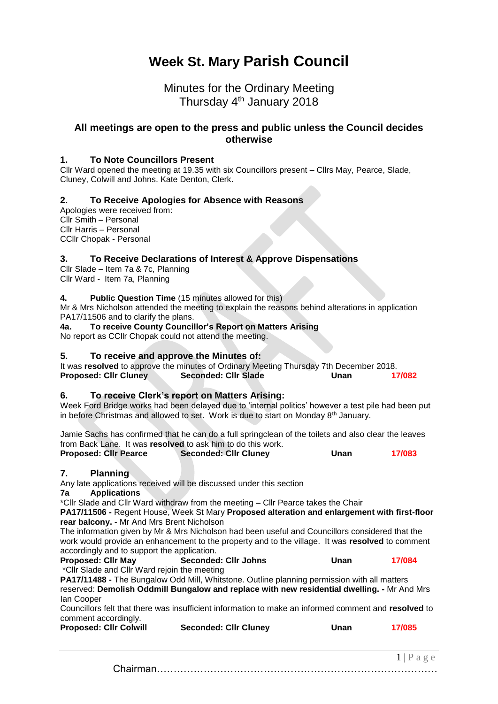# **Week St. Mary Parish Council**

# Minutes for the Ordinary Meeting Thursday 4<sup>th</sup> January 2018

# **All meetings are open to the press and public unless the Council decides otherwise**

### **1. To Note Councillors Present**

Cllr Ward opened the meeting at 19.35 with six Councillors present – Cllrs May, Pearce, Slade, Cluney, Colwill and Johns. Kate Denton, Clerk.

### **2. To Receive Apologies for Absence with Reasons**

Apologies were received from: Cllr Smith – Personal Cllr Harris – Personal CCllr Chopak - Personal

### **3. To Receive Declarations of Interest & Approve Dispensations**

Cllr Slade – Item 7a & 7c, Planning Cllr Ward - Item 7a, Planning

#### **4. Public Question Time** (15 minutes allowed for this)

Mr & Mrs Nicholson attended the meeting to explain the reasons behind alterations in application PA17/11506 and to clarify the plans.

**4a. To receive County Councillor's Report on Matters Arising**

No report as CCllr Chopak could not attend the meeting.

#### **5. To receive and approve the Minutes of:**

It was **resolved** to approve the minutes of Ordinary Meeting Thursday 7th December 2018. **Proposed: Cllr Cluney Seconded: Cllr Slade Unan 17/082**

# **6. To receive Clerk's report on Matters Arising:**

Week Ford Bridge works had been delayed due to 'internal politics' however a test pile had been put in before Christmas and allowed to set. Work is due to start on Monday 8<sup>th</sup> January.

Jamie Sachs has confirmed that he can do a full springclean of the toilets and also clear the leaves from Back Lane. It was **resolved** to ask him to do this work.

| <b>Proposed: Cllr Pearce</b> | <b>Seconded: Cllr Cluney</b> | Unan | 17/083 |
|------------------------------|------------------------------|------|--------|
|------------------------------|------------------------------|------|--------|

### **7. Planning**

Any late applications received will be discussed under this section

#### **7a Applications**

\*Cllr Slade and Cllr Ward withdraw from the meeting – Cllr Pearce takes the Chair

**PA17/11506 -** Regent House, Week St Mary **Proposed alteration and enlargement with first-floor rear balcony.** - Mr And Mrs Brent Nicholson

The information given by Mr & Mrs Nicholson had been useful and Councillors considered that the work would provide an enhancement to the property and to the village. It was **resolved** to comment accordingly and to support the application.

| <b>Proposed: Cllr May</b>                                                                                                                                                                                                                                                                                                                                                                                                                                                              | <b>Seconded: Cllr Johns</b> | Unan | 17/084 |
|----------------------------------------------------------------------------------------------------------------------------------------------------------------------------------------------------------------------------------------------------------------------------------------------------------------------------------------------------------------------------------------------------------------------------------------------------------------------------------------|-----------------------------|------|--------|
| $\mathcal{L} \cap \mathcal{L} \cap \mathcal{L} \cap \mathcal{L} \cap \mathcal{L} \cap \mathcal{L} \cap \mathcal{L} \cap \mathcal{L} \cap \mathcal{L} \cap \mathcal{L} \cap \mathcal{L} \cap \mathcal{L} \cap \mathcal{L} \cap \mathcal{L} \cap \mathcal{L} \cap \mathcal{L} \cap \mathcal{L} \cap \mathcal{L} \cap \mathcal{L} \cap \mathcal{L} \cap \mathcal{L} \cap \mathcal{L} \cap \mathcal{L} \cap \mathcal{L} \cap \mathcal{L} \cap \mathcal{L} \cap \mathcal{L} \cap \mathcal{$ |                             |      |        |

\*Cllr Slade and Cllr Ward rejoin the meeting **PA17/11488 -** The Bungalow Odd Mill, Whitstone. Outline planning permission with all matters

reserved: **Demolish Oddmill Bungalow and replace with new residential dwelling. -** Mr And Mrs Ian Cooper

Councillors felt that there was insufficient information to make an informed comment and **resolved** to comment accordingly.

| <b>Proposed: Cllr Colwill</b> | <b>Seconded: Cllr Cluney</b> | Unan | 17/085 |
|-------------------------------|------------------------------|------|--------|
|-------------------------------|------------------------------|------|--------|

 $1 | P a e e$ Chairman…………………………………………………………………………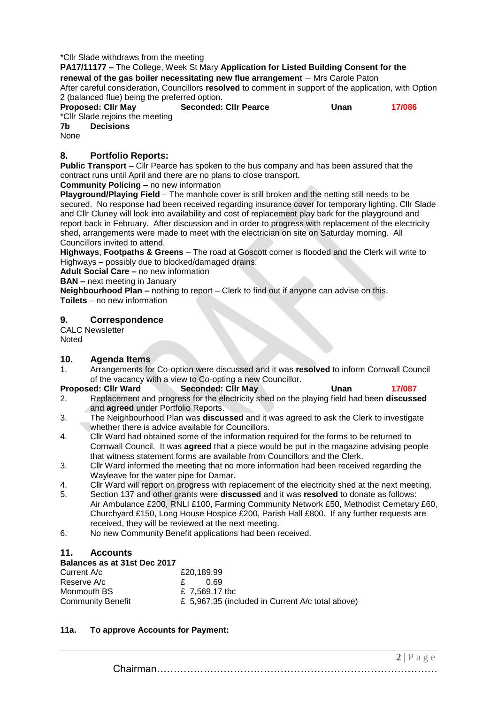#### \*Cllr Slade withdraws from the meeting

**PA17/11177 –** The College, Week St Mary **Application for Listed Building Consent for the renewal of the gas boiler necessitating new flue arrangement** – Mrs Carole Paton After careful consideration, Councillors **resolved** to comment in support of the application, with Option 2 (balanced flue) being the preferred option.<br>**Proposed: CIIr Mav Seconded: Proposed: Cllr May Seconded: Cllr Pearce Unan 17/086**

\*Cllr Slade rejoins the meeting<br>7b Decisions **7b Decisions**

None

## **8. Portfolio Reports:**

**Public Transport –** Cllr Pearce has spoken to the bus company and has been assured that the contract runs until April and there are no plans to close transport.

#### **Community Policing –** no new information

**Playground/Playing Field** – The manhole cover is still broken and the netting still needs to be secured. No response had been received regarding insurance cover for temporary lighting. Cllr Slade and Cllr Cluney will look into availability and cost of replacement play bark for the playground and report back in February. After discussion and in order to progress with replacement of the electricity shed, arrangements were made to meet with the electrician on site on Saturday morning. All Councillors invited to attend.

**Highways**, **Footpaths & Greens** – The road at Goscott corner is flooded and the Clerk will write to Highways – possibly due to blocked/damaged drains.

**Adult Social Care –** no new information

**BAN –** next meeting in January

**Neighbourhood Plan –** nothing to report – Clerk to find out if anyone can advise on this.

**Toilets** – no new information

### **9. Correspondence**

CALC Newsletter Noted

# **10. Agenda Items**

1. Arrangements for Co-option were discussed and it was **resolved** to inform Cornwall Council of the vacancy with a view to Co-opting a new Councillor.

#### **Proposed: Cllr Ward Seconded: Cllr May Unan Unan 17/087**

- 2. Replacement and progress for the electricity shed on the playing field had been **discussed** and **agreed** under Portfolio Reports.
- 3. The Neighbourhood Plan was **discussed** and it was agreed to ask the Clerk to investigate whether there is advice available for Councillors.
- 4. Cllr Ward had obtained some of the information required for the forms to be returned to Cornwall Council. It was **agreed** that a piece would be put in the magazine advising people that witness statement forms are available from Councillors and the Clerk.
- 3. Cllr Ward informed the meeting that no more information had been received regarding the Wayleave for the water pipe for Damar.
- 4. Cllr Ward will report on progress with replacement of the electricity shed at the next meeting.
- 5. Section 137 and other grants were **discussed** and it was **resolved** to donate as follows: Air Ambulance £200, RNLI £100, Farming Community Network £50, Methodist Cemetary £60, Churchyard £150, Long House Hospice £200, Parish Hall £800. If any further requests are received, they will be reviewed at the next meeting.
- 6. No new Community Benefit applications had been received.

# **11. Accounts**

#### **Balances as at 31st Dec 2017**

| Current A/c              | £20.189.99                                       |
|--------------------------|--------------------------------------------------|
| Reserve A/c              | 0.69                                             |
| Monmouth BS              | £ 7.569.17 tbc                                   |
| <b>Community Benefit</b> | £ 5,967.35 (included in Current A/c total above) |
|                          |                                                  |

# **11a. To approve Accounts for Payment:**